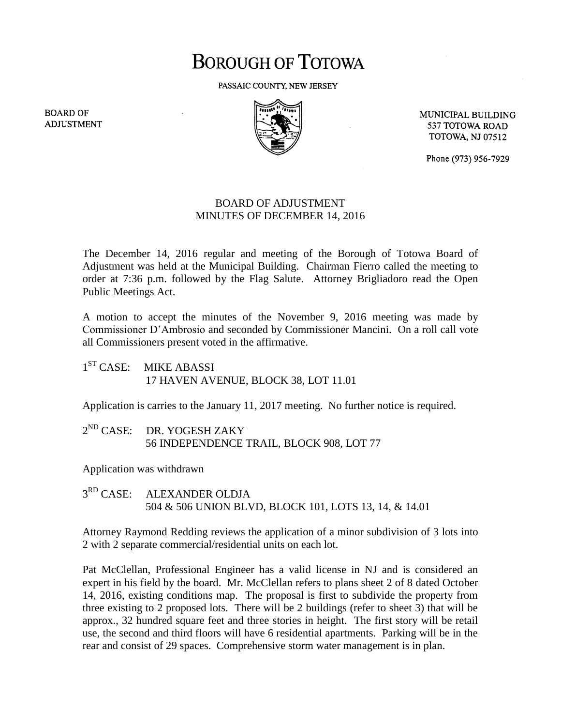## **BOROUGH OF TOTOWA**

PASSAIC COUNTY, NEW JERSEY



MUNICIPAL BUILDING 537 TOTOWA ROAD **TOTOWA, NJ 07512** 

Phone (973) 956-7929

## BOARD OF ADJUSTMENT MINUTES OF DECEMBER 14, 2016

The December 14, 2016 regular and meeting of the Borough of Totowa Board of Adjustment was held at the Municipal Building. Chairman Fierro called the meeting to order at 7:36 p.m. followed by the Flag Salute. Attorney Brigliadoro read the Open Public Meetings Act.

A motion to accept the minutes of the November 9, 2016 meeting was made by Commissioner D'Ambrosio and seconded by Commissioner Mancini. On a roll call vote all Commissioners present voted in the affirmative.

 $1^{ST}$  CASE: **MIKE ABASSI** 17 HAVEN AVENUE, BLOCK 38, LOT 11.01

Application is carries to the January 11, 2017 meeting. No further notice is required.

 $2^{ND}$  CASE: DR. YOGESH ZAKY 56 INDEPENDENCE TRAIL, BLOCK 908, LOT 77

Application was withdrawn

 $3^{RD}$  CASE: ALEXANDER OLDJA 504 & 506 UNION BLVD, BLOCK 101, LOTS 13, 14, & 14.01

Attorney Raymond Redding reviews the application of a minor subdivision of 3 lots into 2 with 2 separate commercial/residential units on each lot.

Pat McClellan, Professional Engineer has a valid license in NJ and is considered an expert in his field by the board. Mr. McClellan refers to plans sheet 2 of 8 dated October 14, 2016, existing conditions map. The proposal is first to subdivide the property from three existing to 2 proposed lots. There will be 2 buildings (refer to sheet 3) that will be approx., 32 hundred square feet and three stories in height. The first story will be retail use, the second and third floors will have 6 residential apartments. Parking will be in the rear and consist of 29 spaces. Comprehensive storm water management is in plan.

**BOARD OF ADJUSTMENT**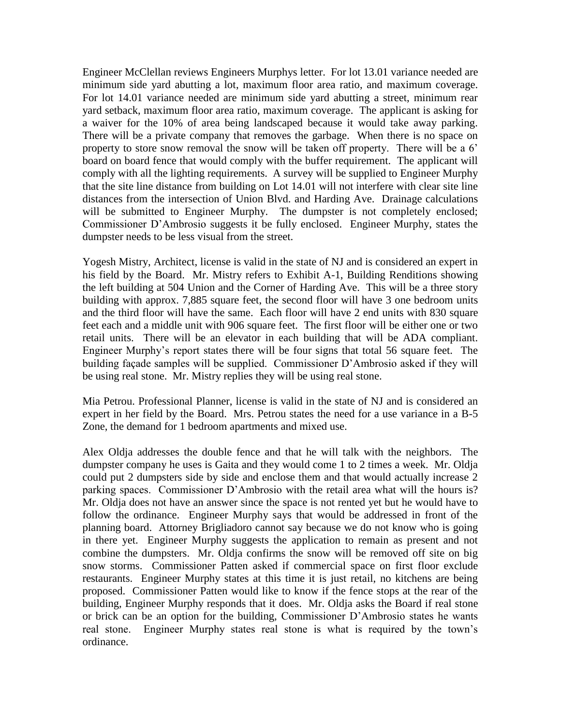Engineer McClellan reviews Engineers Murphys letter. For lot 13.01 variance needed are minimum side yard abutting a lot, maximum floor area ratio, and maximum coverage. For lot 14.01 variance needed are minimum side yard abutting a street, minimum rear yard setback, maximum floor area ratio, maximum coverage. The applicant is asking for a waiver for the 10% of area being landscaped because it would take away parking. There will be a private company that removes the garbage. When there is no space on property to store snow removal the snow will be taken off property. There will be a 6' board on board fence that would comply with the buffer requirement. The applicant will comply with all the lighting requirements. A survey will be supplied to Engineer Murphy that the site line distance from building on Lot 14.01 will not interfere with clear site line distances from the intersection of Union Blvd. and Harding Ave. Drainage calculations will be submitted to Engineer Murphy. The dumpster is not completely enclosed; Commissioner D'Ambrosio suggests it be fully enclosed. Engineer Murphy, states the dumpster needs to be less visual from the street.

Yogesh Mistry, Architect, license is valid in the state of NJ and is considered an expert in his field by the Board. Mr. Mistry refers to Exhibit A-1, Building Renditions showing the left building at 504 Union and the Corner of Harding Ave. This will be a three story building with approx. 7,885 square feet, the second floor will have 3 one bedroom units and the third floor will have the same. Each floor will have 2 end units with 830 square feet each and a middle unit with 906 square feet. The first floor will be either one or two retail units. There will be an elevator in each building that will be ADA compliant. Engineer Murphy's report states there will be four signs that total 56 square feet. The building façade samples will be supplied. Commissioner D'Ambrosio asked if they will be using real stone. Mr. Mistry replies they will be using real stone.

Mia Petrou. Professional Planner, license is valid in the state of NJ and is considered an expert in her field by the Board. Mrs. Petrou states the need for a use variance in a B-5 Zone, the demand for 1 bedroom apartments and mixed use.

Alex Oldja addresses the double fence and that he will talk with the neighbors. The dumpster company he uses is Gaita and they would come 1 to 2 times a week. Mr. Oldja could put 2 dumpsters side by side and enclose them and that would actually increase 2 parking spaces. Commissioner D'Ambrosio with the retail area what will the hours is? Mr. Oldja does not have an answer since the space is not rented yet but he would have to follow the ordinance. Engineer Murphy says that would be addressed in front of the planning board. Attorney Brigliadoro cannot say because we do not know who is going in there yet. Engineer Murphy suggests the application to remain as present and not combine the dumpsters. Mr. Oldja confirms the snow will be removed off site on big snow storms. Commissioner Patten asked if commercial space on first floor exclude restaurants. Engineer Murphy states at this time it is just retail, no kitchens are being proposed. Commissioner Patten would like to know if the fence stops at the rear of the building, Engineer Murphy responds that it does. Mr. Oldja asks the Board if real stone or brick can be an option for the building, Commissioner D'Ambrosio states he wants real stone. Engineer Murphy states real stone is what is required by the town's ordinance.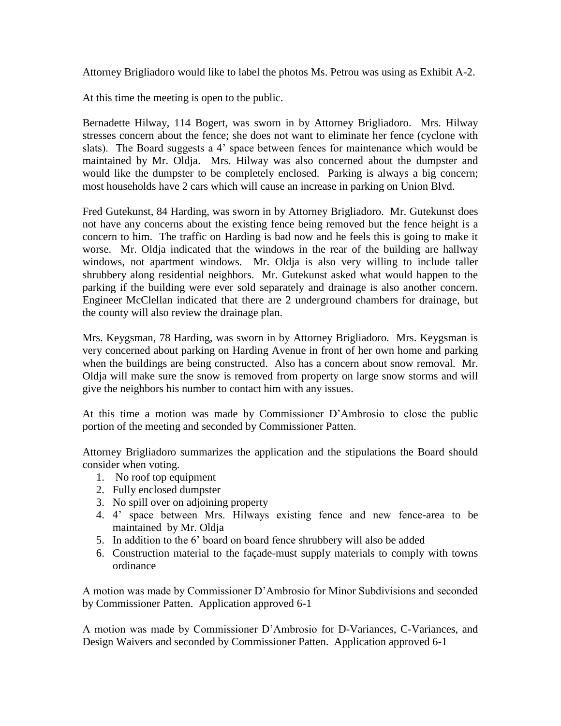Attorney Brigliadoro would like to label the photos Ms. Petrou was using as Exhibit A-2.

At this time the meeting is open to the public.

Bernadette Hilway, 114 Bogert, was sworn in by Attorney Brigliadoro. Mrs. Hilway stresses concern about the fence; she does not want to eliminate her fence (cyclone with slats). The Board suggests a 4' space between fences for maintenance which would be maintained by Mr. Oldja. Mrs. Hilway was also concerned about the dumpster and would like the dumpster to be completely enclosed. Parking is always a big concern; most households have 2 cars which will cause an increase in parking on Union Blvd.

Fred Gutekunst, 84 Harding, was sworn in by Attorney Brigliadoro. Mr. Gutekunst does not have any concerns about the existing fence being removed but the fence height is a concern to him. The traffic on Harding is bad now and he feels this is going to make it worse. Mr. Oldja indicated that the windows in the rear of the building are hallway windows, not apartment windows. Mr. Oldja is also very willing to include taller shrubbery along residential neighbors. Mr. Gutekunst asked what would happen to the parking if the building were ever sold separately and drainage is also another concern. Engineer McClellan indicated that there are 2 underground chambers for drainage, but the county will also review the drainage plan.

Mrs. Keygsman, 78 Harding, was sworn in by Attorney Brigliadoro. Mrs. Keygsman is very concerned about parking on Harding Avenue in front of her own home and parking when the buildings are being constructed. Also has a concern about snow removal. Mr. Oldja will make sure the snow is removed from property on large snow storms and will give the neighbors his number to contact him with any issues.

At this time a motion was made by Commissioner D'Ambrosio to close the public portion of the meeting and seconded by Commissioner Patten.

Attorney Brigliadoro summarizes the application and the stipulations the Board should consider when voting.

- 1. No roof top equipment
- 2. Fully enclosed dumpster
- 3. No spill over on adjoining property
- 4. 4' space between Mrs. Hilways existing fence and new fence-area to be maintained by Mr. Oldja
- 5. In addition to the 6' board on board fence shrubbery will also be added
- 6. Construction material to the façade-must supply materials to comply with towns ordinance

A motion was made by Commissioner D'Ambrosio for Minor Subdivisions and seconded by Commissioner Patten. Application approved 6-1

A motion was made by Commissioner D'Ambrosio for D-Variances, C-Variances, and Design Waivers and seconded by Commissioner Patten. Application approved 6-1